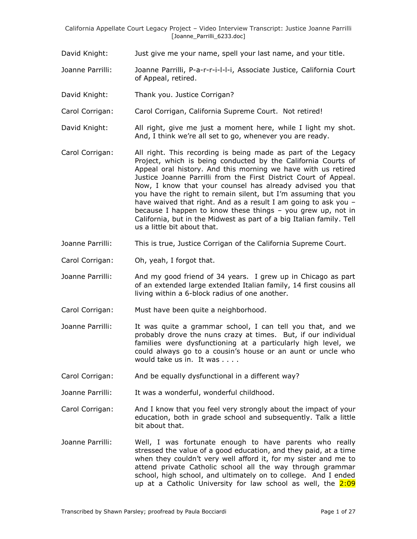- David Knight: Just give me your name, spell your last name, and your title.
- Joanne Parrilli: Joanne Parrilli, P-a-r-r-i-l-l-i, Associate Justice, California Court of Appeal, retired.
- David Knight: Thank you. Justice Corrigan?
- Carol Corrigan: Carol Corrigan, California Supreme Court. Not retired!
- David Knight: All right, give me just a moment here, while I light my shot. And, I think we're all set to go, whenever you are ready.
- Carol Corrigan: All right. This recording is being made as part of the Legacy Project, which is being conducted by the California Courts of Appeal oral history. And this morning we have with us retired Justice Joanne Parrilli from the First District Court of Appeal. Now, I know that your counsel has already advised you that you have the right to remain silent, but I'm assuming that you have waived that right. And as a result I am going to ask you because I happen to know these things – you grew up, not in California, but in the Midwest as part of a big Italian family. Tell us a little bit about that.
- Joanne Parrilli: This is true, Justice Corrigan of the California Supreme Court.
- Carol Corrigan: Oh, yeah, I forgot that.
- Joanne Parrilli: And my good friend of 34 years. I grew up in Chicago as part of an extended large extended Italian family, 14 first cousins all living within a 6-block radius of one another.
- Carol Corrigan: Must have been quite a neighborhood.
- Joanne Parrilli: It was quite a grammar school, I can tell you that, and we probably drove the nuns crazy at times. But, if our individual families were dysfunctioning at a particularly high level, we could always go to a cousin's house or an aunt or uncle who would take us in. It was . . . .
- Carol Corrigan: And be equally dysfunctional in a different way?
- Joanne Parrilli: It was a wonderful, wonderful childhood.
- Carol Corrigan: And I know that you feel very strongly about the impact of your education, both in grade school and subsequently. Talk a little bit about that.
- Joanne Parrilli: Well, I was fortunate enough to have parents who really stressed the value of a good education, and they paid, at a time when they couldn't very well afford it, for my sister and me to attend private Catholic school all the way through grammar school, high school, and ultimately on to college. And I ended up at a Catholic University for law school as well, the 2:09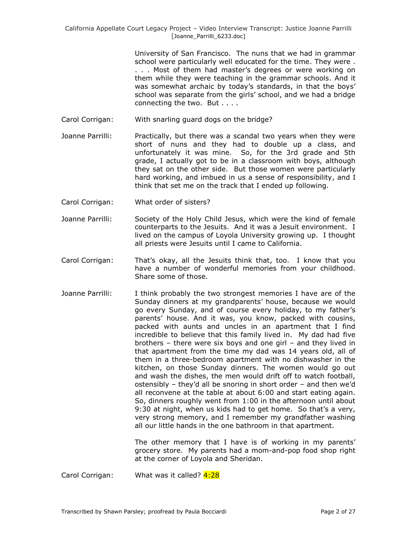University of San Francisco. The nuns that we had in grammar school were particularly well educated for the time. They were . . . . Most of them had master's degrees or were working on them while they were teaching in the grammar schools. And it was somewhat archaic by today's standards, in that the boys' school was separate from the girls' school, and we had a bridge connecting the two. But . . . .

- Carol Corrigan: With snarling guard dogs on the bridge?
- Joanne Parrilli: Practically, but there was a scandal two years when they were short of nuns and they had to double up a class, and unfortunately it was mine. So, for the 3rd grade and 5th grade, I actually got to be in a classroom with boys, although they sat on the other side. But those women were particularly hard working, and imbued in us a sense of responsibility, and I think that set me on the track that I ended up following.
- Carol Corrigan: What order of sisters?
- Joanne Parrilli: Society of the Holy Child Jesus, which were the kind of female counterparts to the Jesuits. And it was a Jesuit environment. I lived on the campus of Loyola University growing up. I thought all priests were Jesuits until I came to California.
- Carol Corrigan: That's okay, all the Jesuits think that, too. I know that you have a number of wonderful memories from your childhood. Share some of those.
- Joanne Parrilli: I think probably the two strongest memories I have are of the Sunday dinners at my grandparents' house, because we would go every Sunday, and of course every holiday, to my father's parents' house. And it was, you know, packed with cousins, packed with aunts and uncles in an apartment that I find incredible to believe that this family lived in. My dad had five brothers – there were six boys and one girl – and they lived in that apartment from the time my dad was 14 years old, all of them in a three-bedroom apartment with no dishwasher in the kitchen, on those Sunday dinners. The women would go out and wash the dishes, the men would drift off to watch football, ostensibly – they'd all be snoring in short order – and then we'd all reconvene at the table at about 6:00 and start eating again. So, dinners roughly went from 1:00 in the afternoon until about 9:30 at night, when us kids had to get home. So that's a very, very strong memory, and I remember my grandfather washing all our little hands in the one bathroom in that apartment.

The other memory that I have is of working in my parents' grocery store. My parents had a mom-and-pop food shop right at the corner of Loyola and Sheridan.

Carol Corrigan: What was it called? 4:28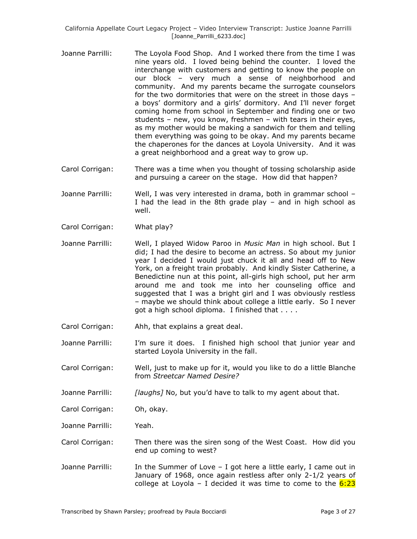- Joanne Parrilli: The Loyola Food Shop. And I worked there from the time I was nine years old. I loved being behind the counter. I loved the interchange with customers and getting to know the people on our block – very much a sense of neighborhood and community. And my parents became the surrogate counselors for the two dormitories that were on the street in those days – a boys' dormitory and a girls' dormitory. And I'll never forget coming home from school in September and finding one or two students – new, you know, freshmen – with tears in their eyes, as my mother would be making a sandwich for them and telling them everything was going to be okay. And my parents became the chaperones for the dances at Loyola University. And it was a great neighborhood and a great way to grow up.
- Carol Corrigan: There was a time when you thought of tossing scholarship aside and pursuing a career on the stage. How did that happen?
- Joanne Parrilli: Well, I was very interested in drama, both in grammar school I had the lead in the 8th grade play – and in high school as well.
- Carol Corrigan: What play?
- Joanne Parrilli: Well, I played Widow Paroo in *Music Man* in high school. But I did; I had the desire to become an actress. So about my junior year I decided I would just chuck it all and head off to New York, on a freight train probably. And kindly Sister Catherine, a Benedictine nun at this point, all-girls high school, put her arm around me and took me into her counseling office and suggested that I was a bright girl and I was obviously restless – maybe we should think about college a little early. So I never got a high school diploma. I finished that . . . .
- Carol Corrigan: Ahh, that explains a great deal.
- Joanne Parrilli: I'm sure it does. I finished high school that junior year and started Loyola University in the fall.
- Carol Corrigan: Well, just to make up for it, would you like to do a little Blanche from *Streetcar Named Desire?*
- Joanne Parrilli: *[laughs]* No, but you'd have to talk to my agent about that.
- Carol Corrigan: Oh, okay.
- Joanne Parrilli: Yeah.
- Carol Corrigan: Then there was the siren song of the West Coast. How did you end up coming to west?
- Joanne Parrilli: In the Summer of Love I got here a little early, I came out in January of 1968, once again restless after only 2-1/2 years of college at Loyola – I decided it was time to come to the  $6:23$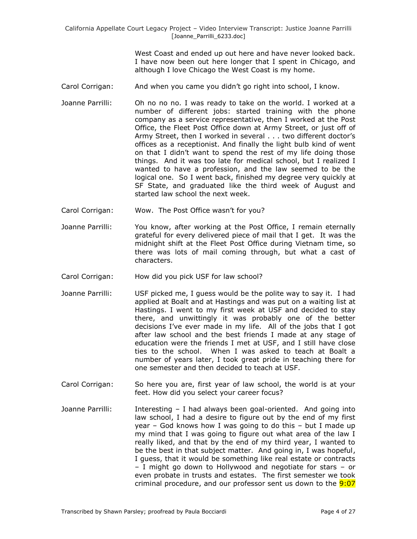West Coast and ended up out here and have never looked back. I have now been out here longer that I spent in Chicago, and although I love Chicago the West Coast is my home.

- Carol Corrigan: And when you came you didn't go right into school, I know.
- Joanne Parrilli: Oh no no no. I was ready to take on the world. I worked at a number of different jobs: started training with the phone company as a service representative, then I worked at the Post Office, the Fleet Post Office down at Army Street, or just off of Army Street, then I worked in several . . . two different doctor's offices as a receptionist. And finally the light bulb kind of went on that I didn't want to spend the rest of my life doing those things. And it was too late for medical school, but I realized I wanted to have a profession, and the law seemed to be the logical one. So I went back, finished my degree very quickly at SF State, and graduated like the third week of August and started law school the next week.
- Carol Corrigan: Wow. The Post Office wasn't for you?
- Joanne Parrilli: You know, after working at the Post Office, I remain eternally grateful for every delivered piece of mail that I get. It was the midnight shift at the Fleet Post Office during Vietnam time, so there was lots of mail coming through, but what a cast of characters.
- Carol Corrigan: How did you pick USF for law school?
- Joanne Parrilli: USF picked me, I guess would be the polite way to say it. I had applied at Boalt and at Hastings and was put on a waiting list at Hastings. I went to my first week at USF and decided to stay there, and unwittingly it was probably one of the better decisions I've ever made in my life. All of the jobs that I got after law school and the best friends I made at any stage of education were the friends I met at USF, and I still have close ties to the school. When I was asked to teach at Boalt a number of years later, I took great pride in teaching there for one semester and then decided to teach at USF.
- Carol Corrigan: So here you are, first year of law school, the world is at your feet. How did you select your career focus?
- Joanne Parrilli: Interesting I had always been goal-oriented. And going into law school, I had a desire to figure out by the end of my first year – God knows how I was going to do this – but I made up my mind that I was going to figure out what area of the law I really liked, and that by the end of my third year, I wanted to be the best in that subject matter. And going in, I was hopeful, I guess, that it would be something like real estate or contracts – I might go down to Hollywood and negotiate for stars – or even probate in trusts and estates. The first semester we took criminal procedure, and our professor sent us down to the **9:07**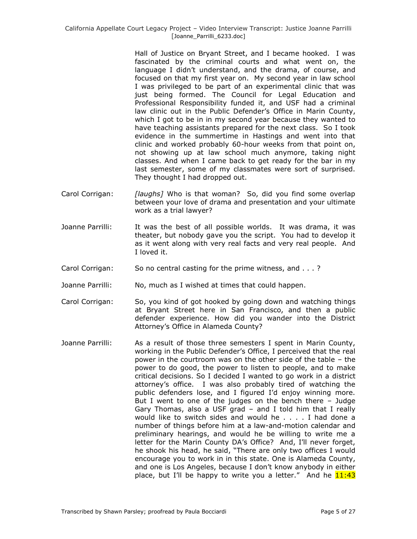Hall of Justice on Bryant Street, and I became hooked. I was fascinated by the criminal courts and what went on, the language I didn't understand, and the drama, of course, and focused on that my first year on. My second year in law school I was privileged to be part of an experimental clinic that was just being formed. The Council for Legal Education and Professional Responsibility funded it, and USF had a criminal law clinic out in the Public Defender's Office in Marin County, which I got to be in in my second year because they wanted to have teaching assistants prepared for the next class. So I took evidence in the summertime in Hastings and went into that clinic and worked probably 60-hour weeks from that point on, not showing up at law school much anymore, taking night classes. And when I came back to get ready for the bar in my last semester, some of my classmates were sort of surprised. They thought I had dropped out.

- Carol Corrigan: *[laughs]* Who is that woman? So, did you find some overlap between your love of drama and presentation and your ultimate work as a trial lawyer?
- Joanne Parrilli: It was the best of all possible worlds. It was drama, it was theater, but nobody gave you the script. You had to develop it as it went along with very real facts and very real people. And I loved it.
- Carol Corrigan: So no central casting for the prime witness, and . . . ?
- Joanne Parrilli: No, much as I wished at times that could happen.
- Carol Corrigan: So, you kind of got hooked by going down and watching things at Bryant Street here in San Francisco, and then a public defender experience. How did you wander into the District Attorney's Office in Alameda County?
- Joanne Parrilli: As a result of those three semesters I spent in Marin County, working in the Public Defender's Office, I perceived that the real power in the courtroom was on the other side of the table – the power to do good, the power to listen to people, and to make critical decisions. So I decided I wanted to go work in a district attorney's office. I was also probably tired of watching the public defenders lose, and I figured I'd enjoy winning more. But I went to one of the judges on the bench there – Judge Gary Thomas, also a USF grad – and I told him that I really would like to switch sides and would he . . . . I had done a number of things before him at a law-and-motion calendar and preliminary hearings, and would he be willing to write me a letter for the Marin County DA's Office? And, I'll never forget, he shook his head, he said, "There are only two offices I would encourage you to work in in this state. One is Alameda County, and one is Los Angeles, because I don't know anybody in either place, but I'll be happy to write you a letter." And he  $11:43$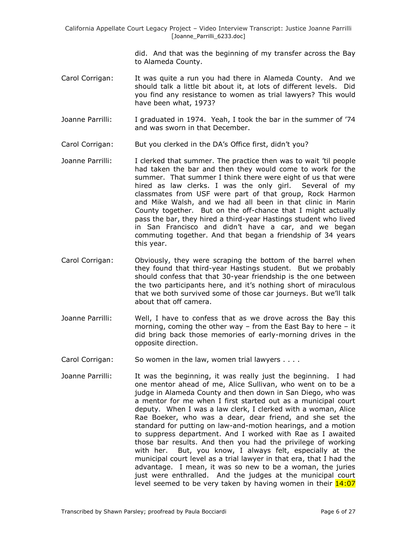> did. And that was the beginning of my transfer across the Bay to Alameda County.

- Carol Corrigan: It was quite a run you had there in Alameda County. And we should talk a little bit about it, at lots of different levels. Did you find any resistance to women as trial lawyers? This would have been what, 1973?
- Joanne Parrilli: I graduated in 1974. Yeah, I took the bar in the summer of '74 and was sworn in that December.
- Carol Corrigan: But you clerked in the DA's Office first, didn't you?
- Joanne Parrilli: I clerked that summer. The practice then was to wait 'til people had taken the bar and then they would come to work for the summer. That summer I think there were eight of us that were hired as law clerks. I was the only girl. Several of my classmates from USF were part of that group, Rock Harmon and Mike Walsh, and we had all been in that clinic in Marin County together. But on the off-chance that I might actually pass the bar, they hired a third-year Hastings student who lived in San Francisco and didn't have a car, and we began commuting together. And that began a friendship of 34 years this year.
- Carol Corrigan: Obviously, they were scraping the bottom of the barrel when they found that third-year Hastings student. But we probably should confess that that 30-year friendship is the one between the two participants here, and it's nothing short of miraculous that we both survived some of those car journeys. But we'll talk about that off camera.
- Joanne Parrilli: Well, I have to confess that as we drove across the Bay this morning, coming the other way – from the East Bay to here – it did bring back those memories of early-morning drives in the opposite direction.
- Carol Corrigan: So women in the law, women trial lawyers . . . .
- Joanne Parrilli: It was the beginning, it was really just the beginning. I had one mentor ahead of me, Alice Sullivan, who went on to be a judge in Alameda County and then down in San Diego, who was a mentor for me when I first started out as a municipal court deputy. When I was a law clerk, I clerked with a woman, Alice Rae Boeker, who was a dear, dear friend, and she set the standard for putting on law-and-motion hearings, and a motion to suppress department. And I worked with Rae as I awaited those bar results. And then you had the privilege of working with her. But, you know, I always felt, especially at the municipal court level as a trial lawyer in that era, that I had the advantage. I mean, it was so new to be a woman, the juries just were enthralled. And the judges at the municipal court level seemed to be very taken by having women in their 14:07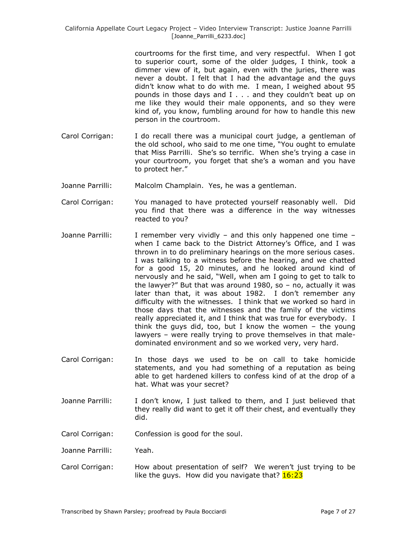courtrooms for the first time, and very respectful. When I got to superior court, some of the older judges, I think, took a dimmer view of it, but again, even with the juries, there was never a doubt. I felt that I had the advantage and the guys didn't know what to do with me. I mean, I weighed about 95 pounds in those days and I . . . and they couldn't beat up on me like they would their male opponents, and so they were kind of, you know, fumbling around for how to handle this new person in the courtroom.

- Carol Corrigan: I do recall there was a municipal court judge, a gentleman of the old school, who said to me one time, "You ought to emulate that Miss Parrilli. She's so terrific. When she's trying a case in your courtroom, you forget that she's a woman and you have to protect her."
- Joanne Parrilli: Malcolm Champlain. Yes, he was a gentleman.
- Carol Corrigan: You managed to have protected yourself reasonably well. Did you find that there was a difference in the way witnesses reacted to you?
- Joanne Parrilli: I remember very vividly and this only happened one time when I came back to the District Attorney's Office, and I was thrown in to do preliminary hearings on the more serious cases. I was talking to a witness before the hearing, and we chatted for a good 15, 20 minutes, and he looked around kind of nervously and he said, "Well, when am I going to get to talk to the lawyer?" But that was around 1980, so – no, actually it was later than that, it was about 1982. I don't remember any difficulty with the witnesses. I think that we worked so hard in those days that the witnesses and the family of the victims really appreciated it, and I think that was true for everybody. I think the guys did, too, but I know the women – the young lawyers – were really trying to prove themselves in that maledominated environment and so we worked very, very hard.
- Carol Corrigan: In those days we used to be on call to take homicide statements, and you had something of a reputation as being able to get hardened killers to confess kind of at the drop of a hat. What was your secret?
- Joanne Parrilli: I don't know, I just talked to them, and I just believed that they really did want to get it off their chest, and eventually they did.
- Carol Corrigan: Confession is good for the soul.
- Joanne Parrilli: Yeah.
- Carol Corrigan: How about presentation of self? We weren't just trying to be like the guys. How did you navigate that?  $16:23$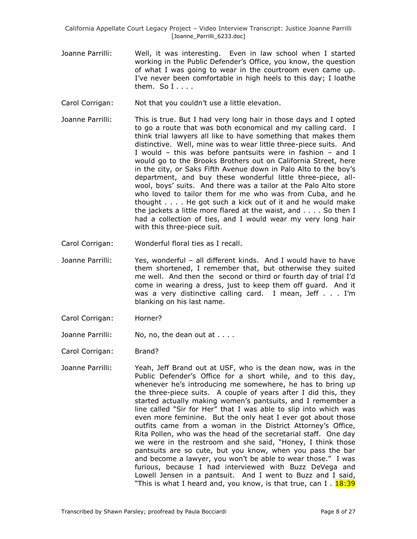- Joanne Parrilli: Well, it was interesting. Even in law school when I started working in the Public Defender's Office, you know, the question of what I was going to wear in the courtroom even came up. I've never been comfortable in high heels to this day; I loathe them. So  $I_1, \ldots$
- Carol Corrigan: Not that you couldn't use a little elevation.
- Joanne Parrilli: This is true. But I had very long hair in those days and I opted to go a route that was both economical and my calling card. I think trial lawyers all like to have something that makes them distinctive. Well, mine was to wear little three-piece suits. And I would – this was before pantsuits were in fashion – and I would go to the Brooks Brothers out on California Street, here in the city, or Saks Fifth Avenue down in Palo Alto to the boy's department, and buy these wonderful little three-piece, allwool, boys' suits. And there was a tailor at the Palo Alto store who loved to tailor them for me who was from Cuba, and he thought . . . . He got such a kick out of it and he would make the jackets a little more flared at the waist, and . . . . So then I had a collection of ties, and I would wear my very long hair with this three-piece suit.
- Carol Corrigan: Wonderful floral ties as I recall.
- Joanne Parrilli: Yes, wonderful all different kinds. And I would have to have them shortened, I remember that, but otherwise they suited me well. And then the second or third or fourth day of trial I'd come in wearing a dress, just to keep them off guard. And it was a very distinctive calling card. I mean, Jeff . . . I'm blanking on his last name.
- Carol Corrigan: Horner?
- Joanne Parrilli: No, no, the dean out at . . . .
- Carol Corrigan: Brand?
- Joanne Parrilli: Yeah, Jeff Brand out at USF, who is the dean now, was in the Public Defender's Office for a short while, and to this day, whenever he's introducing me somewhere, he has to bring up the three-piece suits. A couple of years after I did this, they started actually making women's pantsuits, and I remember a line called "Sir for Her" that I was able to slip into which was even more feminine. But the only heat I ever got about those outfits came from a woman in the District Attorney's Office, Rita Pollen, who was the head of the secretarial staff. One day we were in the restroom and she said, "Honey, I think those pantsuits are so cute, but you know, when you pass the bar and become a lawyer, you won't be able to wear those." I was furious, because I had interviewed with Buzz DeVega and Lowell Jensen in a pantsuit. And I went to Buzz and I said, "This is what I heard and, you know, is that true, can I .  $18:39$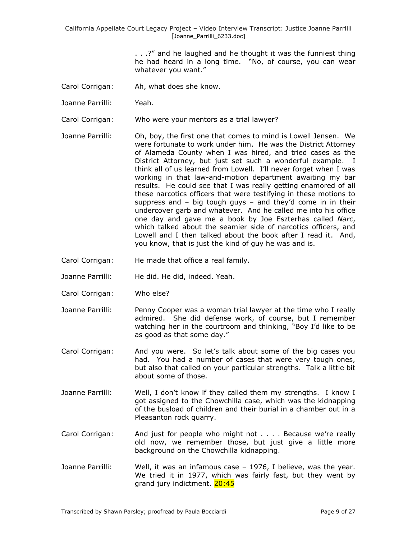> . . .?" and he laughed and he thought it was the funniest thing he had heard in a long time. "No, of course, you can wear whatever you want."

- Carol Corrigan: Ah, what does she know.
- Joanne Parrilli: Yeah.

Carol Corrigan: Who were your mentors as a trial lawyer?

- Joanne Parrilli: Oh, boy, the first one that comes to mind is Lowell Jensen. We were fortunate to work under him. He was the District Attorney of Alameda County when I was hired, and tried cases as the District Attorney, but just set such a wonderful example. I think all of us learned from Lowell. I'll never forget when I was working in that law-and-motion department awaiting my bar results. He could see that I was really getting enamored of all these narcotics officers that were testifying in these motions to suppress and – big tough guys – and they'd come in in their undercover garb and whatever. And he called me into his office one day and gave me a book by Joe Eszterhas called *Narc*, which talked about the seamier side of narcotics officers, and Lowell and I then talked about the book after I read it. And, you know, that is just the kind of guy he was and is.
- Carol Corrigan: He made that office a real family.
- Joanne Parrilli: He did. He did, indeed. Yeah.
- Carol Corrigan: Who else?
- Joanne Parrilli: Penny Cooper was a woman trial lawyer at the time who I really admired. She did defense work, of course, but I remember watching her in the courtroom and thinking, "Boy I'd like to be as good as that some day."
- Carol Corrigan: And you were. So let's talk about some of the big cases you had. You had a number of cases that were very tough ones, but also that called on your particular strengths. Talk a little bit about some of those.
- Joanne Parrilli: Well, I don't know if they called them my strengths. I know I got assigned to the Chowchilla case, which was the kidnapping of the busload of children and their burial in a chamber out in a Pleasanton rock quarry.
- Carol Corrigan: And just for people who might not . . . . Because we're really old now, we remember those, but just give a little more background on the Chowchilla kidnapping.
- Joanne Parrilli: Well, it was an infamous case 1976, I believe, was the year. We tried it in 1977, which was fairly fast, but they went by grand jury indictment. 20:45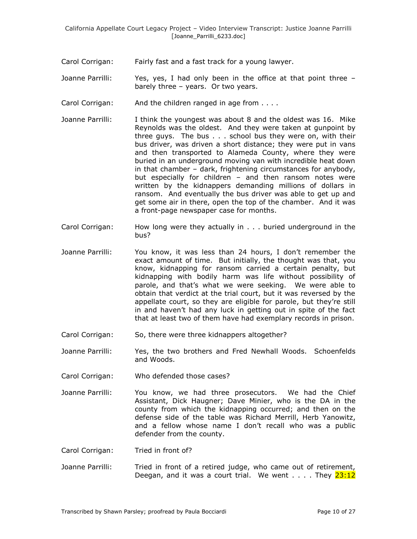Carol Corrigan: Fairly fast and a fast track for a young lawyer.

Joanne Parrilli: Yes, yes, I had only been in the office at that point three – barely three – years. Or two years.

Carol Corrigan: And the children ranged in age from . . . .

- Joanne Parrilli: I think the youngest was about 8 and the oldest was 16. Mike Reynolds was the oldest. And they were taken at gunpoint by three guys. The bus . . . school bus they were on, with their bus driver, was driven a short distance; they were put in vans and then transported to Alameda County, where they were buried in an underground moving van with incredible heat down in that chamber – dark, frightening circumstances for anybody, but especially for children – and then ransom notes were written by the kidnappers demanding millions of dollars in ransom. And eventually the bus driver was able to get up and get some air in there, open the top of the chamber. And it was a front-page newspaper case for months.
- Carol Corrigan: How long were they actually in . . . buried underground in the bus?
- Joanne Parrilli: You know, it was less than 24 hours, I don't remember the exact amount of time. But initially, the thought was that, you know, kidnapping for ransom carried a certain penalty, but kidnapping with bodily harm was life without possibility of parole, and that's what we were seeking. We were able to obtain that verdict at the trial court, but it was reversed by the appellate court, so they are eligible for parole, but they're still in and haven't had any luck in getting out in spite of the fact that at least two of them have had exemplary records in prison.
- Carol Corrigan: So, there were three kidnappers altogether?
- Joanne Parrilli: Yes, the two brothers and Fred Newhall Woods. Schoenfelds and Woods.
- Carol Corrigan: Who defended those cases?
- Joanne Parrilli: You know, we had three prosecutors. We had the Chief Assistant, Dick Haugner; Dave Minier, who is the DA in the county from which the kidnapping occurred; and then on the defense side of the table was Richard Merrill, Herb Yanowitz, and a fellow whose name I don't recall who was a public defender from the county.

Carol Corrigan: Tried in front of?

Joanne Parrilli: Tried in front of a retired judge, who came out of retirement, Deegan, and it was a court trial. We went  $\ldots$ . They  $23:12$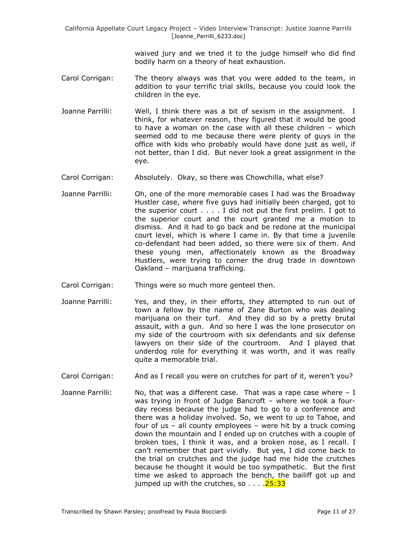> waived jury and we tried it to the judge himself who did find bodily harm on a theory of heat exhaustion.

- Carol Corrigan: The theory always was that you were added to the team, in addition to your terrific trial skills, because you could look the children in the eye.
- Joanne Parrilli: Well, I think there was a bit of sexism in the assignment. I think, for whatever reason, they figured that it would be good to have a woman on the case with all these children – which seemed odd to me because there were plenty of guys in the office with kids who probably would have done just as well, if not better, than I did. But never look a great assignment in the eye.
- Carol Corrigan: Absolutely. Okay, so there was Chowchilla, what else?
- Joanne Parrilli: Oh, one of the more memorable cases I had was the Broadway Hustler case, where five guys had initially been charged, got to the superior court . . . . I did not put the first prelim. I got to the superior court and the court granted me a motion to dismiss. And it had to go back and be redone at the municipal court level, which is where I came in. By that time a juvenile co-defendant had been added, so there were six of them. And these young men, affectionately known as the Broadway Hustlers, were trying to corner the drug trade in downtown Oakland – marijuana trafficking.
- Carol Corrigan: Things were so much more genteel then.
- Joanne Parrilli: Yes, and they, in their efforts, they attempted to run out of town a fellow by the name of Zane Burton who was dealing marijuana on their turf. And they did so by a pretty brutal assault, with a gun. And so here I was the lone prosecutor on my side of the courtroom with six defendants and six defense lawyers on their side of the courtroom. And I played that underdog role for everything it was worth, and it was really quite a memorable trial.
- Carol Corrigan: And as I recall you were on crutches for part of it, weren't you?
- Joanne Parrilli: No, that was a different case. That was a rape case where  $I$ was trying in front of Judge Bancroft – where we took a fourday recess because the judge had to go to a conference and there was a holiday involved. So, we went to up to Tahoe, and four of us – all county employees – were hit by a truck coming down the mountain and I ended up on crutches with a couple of broken toes, I think it was, and a broken nose, as I recall. I can't remember that part vividly. But yes, I did come back to the trial on crutches and the judge had me hide the crutches because he thought it would be too sympathetic. But the first time we asked to approach the bench, the bailiff got up and jumped up with the crutches, so  $\ldots$ .  $25:33$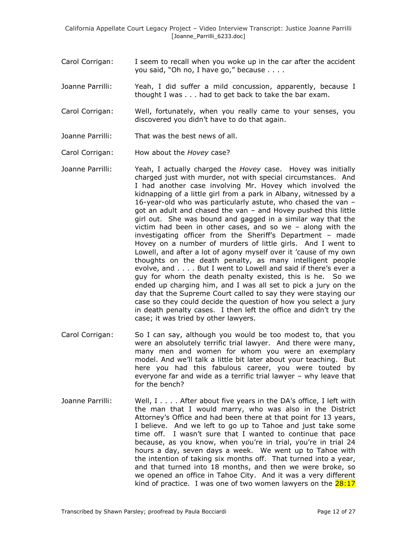- Carol Corrigan: I seem to recall when you woke up in the car after the accident you said, "Oh no, I have go," because . . . .
- Joanne Parrilli: Yeah, I did suffer a mild concussion, apparently, because I thought I was . . . had to get back to take the bar exam.
- Carol Corrigan: Well, fortunately, when you really came to your senses, you discovered you didn't have to do that again.
- Joanne Parrilli: That was the best news of all.
- Carol Corrigan: How about the *Hovey* case?
- Joanne Parrilli: Yeah, I actually charged the *Hovey* case. Hovey was initially charged just with murder, not with special circumstances. And I had another case involving Mr. Hovey which involved the kidnapping of a little girl from a park in Albany, witnessed by a 16-year-old who was particularly astute, who chased the van – got an adult and chased the van – and Hovey pushed this little girl out. She was bound and gagged in a similar way that the victim had been in other cases, and so we – along with the investigating officer from the Sheriff's Department – made Hovey on a number of murders of little girls. And I went to Lowell, and after a lot of agony myself over it 'cause of my own thoughts on the death penalty, as many intelligent people evolve, and . . . . But I went to Lowell and said if there's ever a guy for whom the death penalty existed, this is he. So we ended up charging him, and I was all set to pick a jury on the day that the Supreme Court called to say they were staying our case so they could decide the question of how you select a jury in death penalty cases. I then left the office and didn't try the case; it was tried by other lawyers.
- Carol Corrigan: So I can say, although you would be too modest to, that you were an absolutely terrific trial lawyer. And there were many, many men and women for whom you were an exemplary model. And we'll talk a little bit later about your teaching. But here you had this fabulous career, you were touted by everyone far and wide as a terrific trial lawyer – why leave that for the bench?
- Joanne Parrilli: Well, I . . . . After about five years in the DA's office, I left with the man that I would marry, who was also in the District Attorney's Office and had been there at that point for 13 years, I believe. And we left to go up to Tahoe and just take some time off. I wasn't sure that I wanted to continue that pace because, as you know, when you're in trial, you're in trial 24 hours a day, seven days a week. We went up to Tahoe with the intention of taking six months off. That turned into a year, and that turned into 18 months, and then we were broke, so we opened an office in Tahoe City. And it was a very different kind of practice. I was one of two women lawyers on the  $28:17$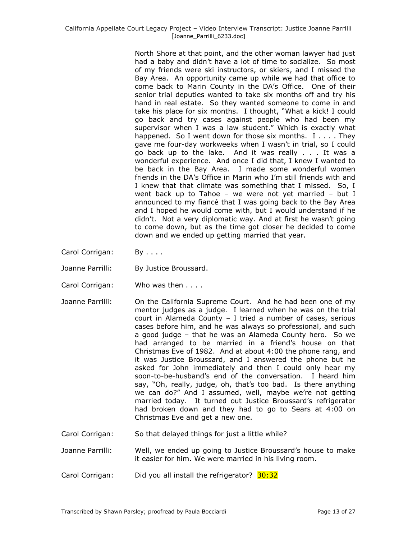North Shore at that point, and the other woman lawyer had just had a baby and didn't have a lot of time to socialize. So most of my friends were ski instructors, or skiers, and I missed the Bay Area. An opportunity came up while we had that office to come back to Marin County in the DA's Office. One of their senior trial deputies wanted to take six months off and try his hand in real estate. So they wanted someone to come in and take his place for six months. I thought, "What a kick! I could go back and try cases against people who had been my supervisor when I was a law student." Which is exactly what happened. So I went down for those six months. I . . . . They gave me four-day workweeks when I wasn't in trial, so I could go back up to the lake. And it was really . . . It was a wonderful experience. And once I did that, I knew I wanted to be back in the Bay Area. I made some wonderful women friends in the DA's Office in Marin who I'm still friends with and I knew that that climate was something that I missed. So, I went back up to Tahoe – we were not yet married – but I announced to my fiancé that I was going back to the Bay Area and I hoped he would come with, but I would understand if he didn't. Not a very diplomatic way. And at first he wasn't going to come down, but as the time got closer he decided to come down and we ended up getting married that year.

- Carol Corrigan: By . . . .
- Joanne Parrilli: By Justice Broussard.
- Carol Corrigan: Who was then . . . .
- Joanne Parrilli: On the California Supreme Court. And he had been one of my mentor judges as a judge. I learned when he was on the trial court in Alameda County – I tried a number of cases, serious cases before him, and he was always so professional, and such a good judge – that he was an Alameda County hero. So we had arranged to be married in a friend's house on that Christmas Eve of 1982. And at about 4:00 the phone rang, and it was Justice Broussard, and I answered the phone but he asked for John immediately and then I could only hear my soon-to-be-husband's end of the conversation. I heard him say, "Oh, really, judge, oh, that's too bad. Is there anything we can do?" And I assumed, well, maybe we're not getting married today. It turned out Justice Broussard's refrigerator had broken down and they had to go to Sears at 4:00 on Christmas Eve and get a new one.
- Carol Corrigan: So that delayed things for just a little while?
- Joanne Parrilli: Well, we ended up going to Justice Broussard's house to make it easier for him. We were married in his living room.
- Carol Corrigan: Did you all install the refrigerator? 30:32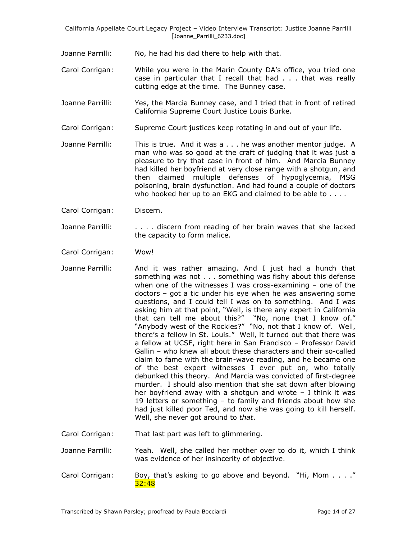Joanne Parrilli: No, he had his dad there to help with that.

- Carol Corrigan: While you were in the Marin County DA's office, you tried one case in particular that I recall that had . . . that was really cutting edge at the time. The Bunney case.
- Joanne Parrilli: Yes, the Marcia Bunney case, and I tried that in front of retired California Supreme Court Justice Louis Burke.
- Carol Corrigan: Supreme Court justices keep rotating in and out of your life.
- Joanne Parrilli: This is true. And it was a . . . he was another mentor judge. A man who was so good at the craft of judging that it was just a pleasure to try that case in front of him. And Marcia Bunney had killed her boyfriend at very close range with a shotgun, and then claimed multiple defenses of hypoglycemia, MSG poisoning, brain dysfunction. And had found a couple of doctors who hooked her up to an EKG and claimed to be able to . . . .
- Carol Corrigan: Discern.
- Joanne Parrilli: . . . . . discern from reading of her brain waves that she lacked the capacity to form malice.
- Carol Corrigan: Wow!
- Joanne Parrilli: And it was rather amazing. And I just had a hunch that something was not . . . something was fishy about this defense when one of the witnesses I was cross-examining – one of the doctors – got a tic under his eye when he was answering some questions, and I could tell I was on to something. And I was asking him at that point, "Well, is there any expert in California that can tell me about this?" "No, none that I know of." "Anybody west of the Rockies?" "No, not that I know of. Well, there's a fellow in St. Louis." Well, it turned out that there was a fellow at UCSF, right here in San Francisco – Professor David Gallin – who knew all about these characters and their so-called claim to fame with the brain-wave reading, and he became one of the best expert witnesses I ever put on, who totally debunked this theory. And Marcia was convicted of first-degree murder. I should also mention that she sat down after blowing her boyfriend away with a shotgun and wrote  $-$  I think it was 19 letters or something – to family and friends about how she had just killed poor Ted, and now she was going to kill herself. Well, she never got around to *that*.

Carol Corrigan: That last part was left to glimmering.

- Joanne Parrilli: Yeah. Well, she called her mother over to do it, which I think was evidence of her insincerity of objective.
- Carol Corrigan: Boy, that's asking to go above and beyond. "Hi, Mom . . . ." 32:48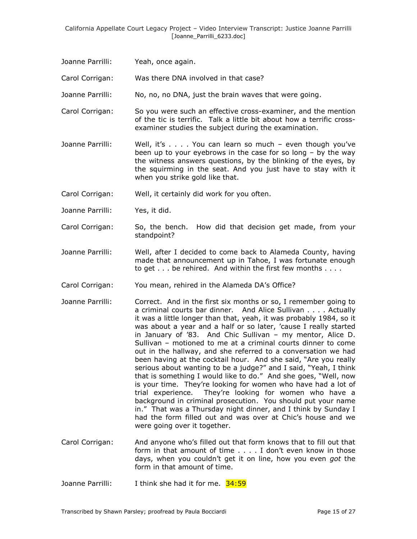- Joanne Parrilli: Yeah, once again.
- Carol Corrigan: Was there DNA involved in that case?
- Joanne Parrilli: No, no, no DNA, just the brain waves that were going.
- Carol Corrigan: So you were such an effective cross-examiner, and the mention of the tic is terrific. Talk a little bit about how a terrific crossexaminer studies the subject during the examination.
- Joanne Parrilli: Well, it's . . . . You can learn so much even though you've been up to your eyebrows in the case for so long – by the way the witness answers questions, by the blinking of the eyes, by the squirming in the seat. And you just have to stay with it when you strike gold like that.
- Carol Corrigan: Well, it certainly did work for you often.
- Joanne Parrilli: Yes, it did.
- Carol Corrigan: So, the bench. How did that decision get made, from your standpoint?
- Joanne Parrilli: Well, after I decided to come back to Alameda County, having made that announcement up in Tahoe, I was fortunate enough to get . . . be rehired. And within the first few months . . . .
- Carol Corrigan: You mean, rehired in the Alameda DA's Office?
- Joanne Parrilli: Correct. And in the first six months or so, I remember going to a criminal courts bar dinner. And Alice Sullivan . . . . Actually it was a little longer than that, yeah, it was probably 1984, so it was about a year and a half or so later, 'cause I really started in January of '83. And Chic Sullivan – my mentor, Alice D. Sullivan – motioned to me at a criminal courts dinner to come out in the hallway, and she referred to a conversation we had been having at the cocktail hour. And she said, "Are you really serious about wanting to be a judge?" and I said, "Yeah, I think that is something I would like to do." And she goes, "Well, now is your time. They're looking for women who have had a lot of trial experience. They're looking for women who have a background in criminal prosecution. You should put your name in." That was a Thursday night dinner, and I think by Sunday I had the form filled out and was over at Chic's house and we were going over it together.
- Carol Corrigan: And anyone who's filled out that form knows that to fill out that form in that amount of time . . . . I don't even know in those days, when you couldn't get it on line, how you even *got* the form in that amount of time.
- Joanne Parrilli: I think she had it for me. 34:59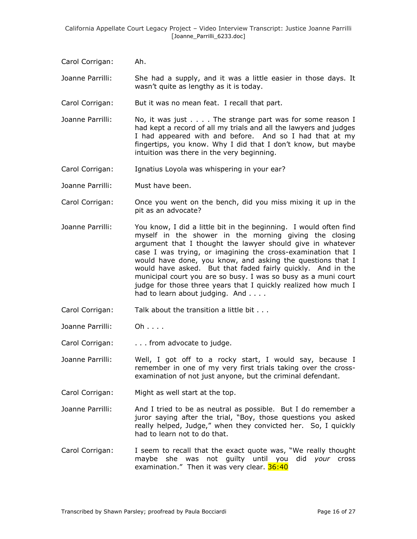Carol Corrigan: Ah.

Joanne Parrilli: She had a supply, and it was a little easier in those days. It wasn't quite as lengthy as it is today.

- Carol Corrigan: But it was no mean feat. I recall that part.
- Joanne Parrilli: No, it was just . . . . The strange part was for some reason I had kept a record of all my trials and all the lawyers and judges I had appeared with and before. And so I had that at my fingertips, you know. Why I did that I don't know, but maybe intuition was there in the very beginning.
- Carol Corrigan: Ignatius Loyola was whispering in your ear?
- Joanne Parrilli: Must have been.
- Carol Corrigan: Once you went on the bench, did you miss mixing it up in the pit as an advocate?
- Joanne Parrilli: You know, I did a little bit in the beginning. I would often find myself in the shower in the morning giving the closing argument that I thought the lawyer should give in whatever case I was trying, or imagining the cross-examination that I would have done, you know, and asking the questions that I would have asked. But that faded fairly quickly. And in the municipal court you are so busy. I was so busy as a muni court judge for those three years that I quickly realized how much I had to learn about judging. And . . . .
- Carol Corrigan: Talk about the transition a little bit . . .
- Joanne Parrilli: Oh . . . .
- Carol Corrigan: . . . from advocate to judge.

Joanne Parrilli: Well, I got off to a rocky start, I would say, because I remember in one of my very first trials taking over the crossexamination of not just anyone, but the criminal defendant.

- Carol Corrigan: Might as well start at the top.
- Joanne Parrilli: And I tried to be as neutral as possible. But I do remember a juror saying after the trial, "Boy, those questions you asked really helped, Judge," when they convicted her. So, I quickly had to learn not to do that.
- Carol Corrigan: I seem to recall that the exact quote was, "We really thought maybe she was not guilty until you did *your* cross examination." Then it was very clear. 36:40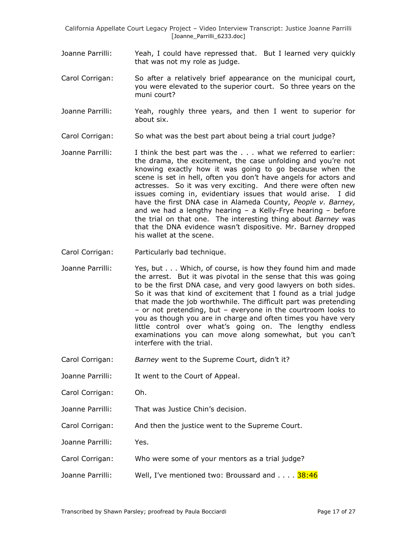- Joanne Parrilli: Yeah, I could have repressed that. But I learned very quickly that was not my role as judge.
- Carol Corrigan: So after a relatively brief appearance on the municipal court, you were elevated to the superior court. So three years on the muni court?
- Joanne Parrilli: Yeah, roughly three years, and then I went to superior for about six.
- Carol Corrigan: So what was the best part about being a trial court judge?
- Joanne Parrilli: I think the best part was the . . . what we referred to earlier: the drama, the excitement, the case unfolding and you're not knowing exactly how it was going to go because when the scene is set in hell, often you don't have angels for actors and actresses. So it was very exciting. And there were often new issues coming in, evidentiary issues that would arise. I did have the first DNA case in Alameda County, *People v. Barney,* and we had a lengthy hearing – a Kelly-Frye hearing – before the trial on that one. The interesting thing about *Barney* was that the DNA evidence wasn't dispositive. Mr. Barney dropped his wallet at the scene.
- Carol Corrigan: Particularly bad technique.
- Joanne Parrilli: Yes, but . . . Which, of course, is how they found him and made the arrest. But it was pivotal in the sense that this was going to be the first DNA case, and very good lawyers on both sides. So it was that kind of excitement that I found as a trial judge that made the job worthwhile. The difficult part was pretending – or not pretending, but – everyone in the courtroom looks to you as though you are in charge and often times you have very little control over what's going on. The lengthy endless examinations you can move along somewhat, but you can't interfere with the trial.
- Carol Corrigan: *Barney* went to the Supreme Court, didn't it?
- Joanne Parrilli: It went to the Court of Appeal.
- Carol Corrigan: Oh.
- Joanne Parrilli: That was Justice Chin's decision.
- Carol Corrigan: And then the justice went to the Supreme Court.
- Joanne Parrilli: Yes.
- Carol Corrigan: Who were some of your mentors as a trial judge?
- Joanne Parrilli: Well, I've mentioned two: Broussard and . . . . 38:46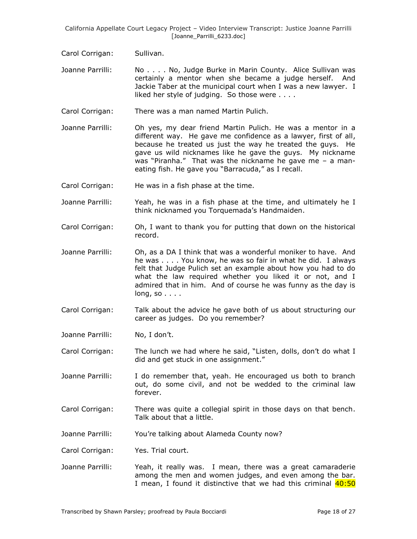- Carol Corrigan: Sullivan.
- Joanne Parrilli: No . . . . No, Judge Burke in Marin County. Alice Sullivan was certainly a mentor when she became a judge herself. And Jackie Taber at the municipal court when I was a new lawyer. I liked her style of judging. So those were . . . .
- Carol Corrigan: There was a man named Martin Pulich.
- Joanne Parrilli: Oh yes, my dear friend Martin Pulich. He was a mentor in a different way. He gave me confidence as a lawyer, first of all, because he treated us just the way he treated the guys. He gave us wild nicknames like he gave the guys. My nickname was "Piranha." That was the nickname he gave me – a maneating fish. He gave you "Barracuda," as I recall.
- Carol Corrigan: He was in a fish phase at the time.
- Joanne Parrilli: Yeah, he was in a fish phase at the time, and ultimately he I think nicknamed you Torquemada's Handmaiden.
- Carol Corrigan: Oh, I want to thank you for putting that down on the historical record.
- Joanne Parrilli: Oh, as a DA I think that was a wonderful moniker to have. And he was . . . . You know, he was so fair in what he did. I always felt that Judge Pulich set an example about how you had to do what the law required whether you liked it or not, and I admired that in him. And of course he was funny as the day is long, so . . . .
- Carol Corrigan: Talk about the advice he gave both of us about structuring our career as judges. Do you remember?
- Joanne Parrilli: No, I don't.

Carol Corrigan: The lunch we had where he said, "Listen, dolls, don't do what I did and get stuck in one assignment."

- Joanne Parrilli: I do remember that, yeah. He encouraged us both to branch out, do some civil, and not be wedded to the criminal law forever.
- Carol Corrigan: There was quite a collegial spirit in those days on that bench. Talk about that a little.
- Joanne Parrilli: You're talking about Alameda County now?
- Carol Corrigan: Yes. Trial court.
- Joanne Parrilli: Yeah, it really was. I mean, there was a great camaraderie among the men and women judges, and even among the bar. I mean, I found it distinctive that we had this criminal  $40:50$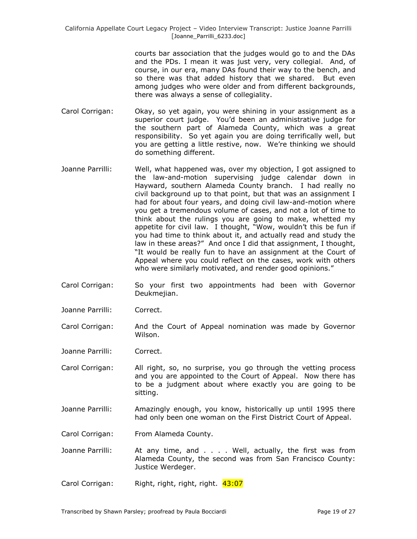> courts bar association that the judges would go to and the DAs and the PDs. I mean it was just very, very collegial. And, of course, in our era, many DAs found their way to the bench, and so there was that added history that we shared. But even among judges who were older and from different backgrounds, there was always a sense of collegiality.

- Carol Corrigan: Okay, so yet again, you were shining in your assignment as a superior court judge. You'd been an administrative judge for the southern part of Alameda County, which was a great responsibility. So yet again you are doing terrifically well, but you are getting a little restive, now. We're thinking we should do something different.
- Joanne Parrilli: Well, what happened was, over my objection, I got assigned to the law-and-motion supervising judge calendar down in Hayward, southern Alameda County branch. I had really no civil background up to that point, but that was an assignment I had for about four years, and doing civil law-and-motion where you get a tremendous volume of cases, and not a lot of time to think about the rulings you are going to make, whetted my appetite for civil law. I thought, "Wow, wouldn't this be fun if you had time to think about it, and actually read and study the law in these areas?" And once I did that assignment, I thought, "It would be really fun to have an assignment at the Court of Appeal where you could reflect on the cases, work with others who were similarly motivated, and render good opinions."
- Carol Corrigan: So your first two appointments had been with Governor Deukmeijan.
- Joanne Parrilli: Correct.
- Carol Corrigan: And the Court of Appeal nomination was made by Governor Wilson.
- Joanne Parrilli: Correct.
- Carol Corrigan: All right, so, no surprise, you go through the vetting process and you are appointed to the Court of Appeal. Now there has to be a judgment about where exactly you are going to be sitting.
- Joanne Parrilli: Amazingly enough, you know, historically up until 1995 there had only been one woman on the First District Court of Appeal.
- Carol Corrigan: From Alameda County.
- Joanne Parrilli: At any time, and . . . . Well, actually, the first was from Alameda County, the second was from San Francisco County: Justice Werdeger.
- Carol Corrigan: Right, right, right, right. 43:07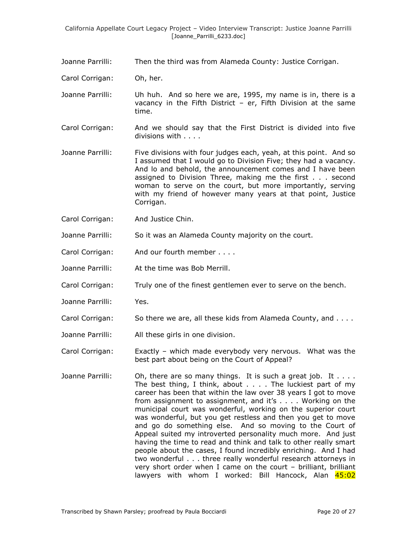Joanne Parrilli: Then the third was from Alameda County: Justice Corrigan.

Carol Corrigan: Oh, her.

- Joanne Parrilli: Uh huh. And so here we are, 1995, my name is in, there is a vacancy in the Fifth District – er, Fifth Division at the same time.
- Carol Corrigan: And we should say that the First District is divided into five divisions with . . . .
- Joanne Parrilli: Five divisions with four judges each, yeah, at this point. And so I assumed that I would go to Division Five; they had a vacancy. And lo and behold, the announcement comes and I have been assigned to Division Three, making me the first . . . second woman to serve on the court, but more importantly, serving with my friend of however many years at that point, Justice Corrigan.
- Carol Corrigan: And Justice Chin.
- Joanne Parrilli: So it was an Alameda County majority on the court.
- Carol Corrigan: And our fourth member . . . .
- Joanne Parrilli: At the time was Bob Merrill.
- Carol Corrigan: Truly one of the finest gentlemen ever to serve on the bench.
- Joanne Parrilli: Yes.
- Carol Corrigan: So there we are, all these kids from Alameda County, and . . . .
- Joanne Parrilli: All these girls in one division.

Carol Corrigan: Exactly – which made everybody very nervous. What was the best part about being on the Court of Appeal?

Joanne Parrilli: Oh, there are so many things. It is such a great job. It  $\dots$ . The best thing, I think, about . . . . The luckiest part of my career has been that within the law over 38 years I got to move from assignment to assignment, and it's . . . . Working on the municipal court was wonderful, working on the superior court was wonderful, but you get restless and then you get to move and go do something else. And so moving to the Court of Appeal suited my introverted personality much more. And just having the time to read and think and talk to other really smart people about the cases, I found incredibly enriching. And I had two wonderful . . . three really wonderful research attorneys in very short order when I came on the court – brilliant, brilliant lawyers with whom I worked: Bill Hancock, Alan 45:02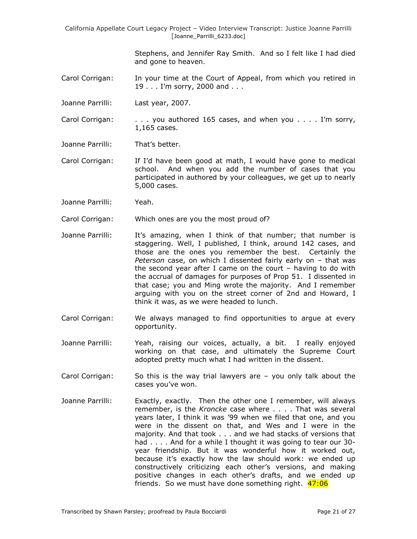> Stephens, and Jennifer Ray Smith. And so I felt like I had died and gone to heaven.

- Carol Corrigan: In your time at the Court of Appeal, from which you retired in 19 . . . I'm sorry, 2000 and . . .
- Joanne Parrilli: Last year, 2007.
- Carol Corrigan: . . . you authored 165 cases, and when you . . . . I'm sorry, 1,165 cases.
- Joanne Parrilli: That's better.
- Carol Corrigan: If I'd have been good at math, I would have gone to medical school. And when you add the number of cases that you participated in authored by your colleagues, we get up to nearly 5,000 cases.
- Joanne Parrilli: Yeah.
- Carol Corrigan: Which ones are you the most proud of?
- Joanne Parrilli: It's amazing, when I think of that number; that number is staggering. Well, I published, I think, around 142 cases, and those are the ones you remember the best. Certainly the *Peterson* case, on which I dissented fairly early on – that was the second year after I came on the court – having to do with the accrual of damages for purposes of Prop 51. I dissented in that case; you and Ming wrote the majority. And I remember arguing with you on the street corner of 2nd and Howard, I think it was, as we were headed to lunch.
- Carol Corrigan: We always managed to find opportunities to argue at every opportunity.
- Joanne Parrilli: Yeah, raising our voices, actually, a bit. I really enjoyed working on that case, and ultimately the Supreme Court adopted pretty much what I had written in the dissent.
- Carol Corrigan: So this is the way trial lawyers are you only talk about the cases you've won.
- Joanne Parrilli: Exactly, exactly. Then the other one I remember, will always remember, is the *Kroncke* case where . . . . That was several years later, I think it was '99 when we filed that one, and you were in the dissent on that, and Wes and I were in the majority. And that took . . . and we had stacks of versions that had . . . . And for a while I thought it was going to tear our 30year friendship. But it was wonderful how it worked out, because it's exactly how the law should work: we ended up constructively criticizing each other's versions, and making positive changes in each other's drafts, and we ended up friends. So we must have done something right. 47:06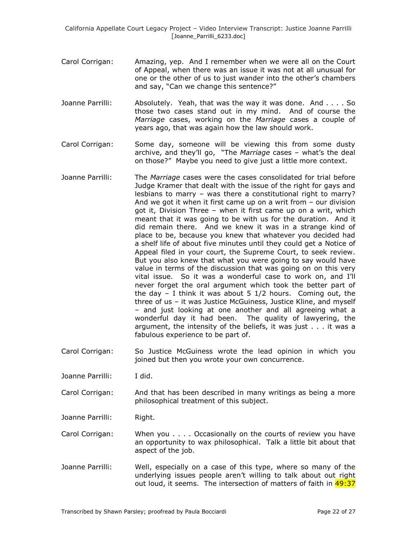- Carol Corrigan: Amazing, yep. And I remember when we were all on the Court of Appeal, when there was an issue it was not at all unusual for one or the other of us to just wander into the other's chambers and say, "Can we change this sentence?"
- Joanne Parrilli: Absolutely. Yeah, that was the way it was done. And . . . . So those two cases stand out in my mind. And of course the *Marriage* cases, working on the *Marriage* cases a couple of years ago, that was again how the law should work.
- Carol Corrigan: Some day, someone will be viewing this from some dusty archive, and they'll go, "The *Marriage* cases – what's the deal on those?" Maybe you need to give just a little more context.
- Joanne Parrilli: The *Marriage* cases were the cases consolidated for trial before Judge Kramer that dealt with the issue of the right for gays and lesbians to marry – was there a constitutional right to marry? And we got it when it first came up on a writ from – our division got it, Division Three – when it first came up on a writ, which meant that it was going to be with us for the duration. And it did remain there. And we knew it was in a strange kind of place to be, because you knew that whatever you decided had a shelf life of about five minutes until they could get a Notice of Appeal filed in your court, the Supreme Court, to seek review. But you also knew that what you were going to say would have value in terms of the discussion that was going on on this very vital issue. So it was a wonderful case to work on, and I'll never forget the oral argument which took the better part of the day  $-$  I think it was about 5 1/2 hours. Coming out, the three of us – it was Justice McGuiness, Justice Kline, and myself – and just looking at one another and all agreeing what a wonderful day it had been. The quality of lawyering, the argument, the intensity of the beliefs, it was just . . . it was a fabulous experience to be part of.
- Carol Corrigan: So Justice McGuiness wrote the lead opinion in which you joined but then you wrote your own concurrence.
- Joanne Parrilli: I did.
- Carol Corrigan: And that has been described in many writings as being a more philosophical treatment of this subject.
- Joanne Parrilli: Right.
- Carol Corrigan: When you . . . . Occasionally on the courts of review you have an opportunity to wax philosophical. Talk a little bit about that aspect of the job.
- Joanne Parrilli: Well, especially on a case of this type, where so many of the underlying issues people aren't willing to talk about out right out loud, it seems. The intersection of matters of faith in 49:37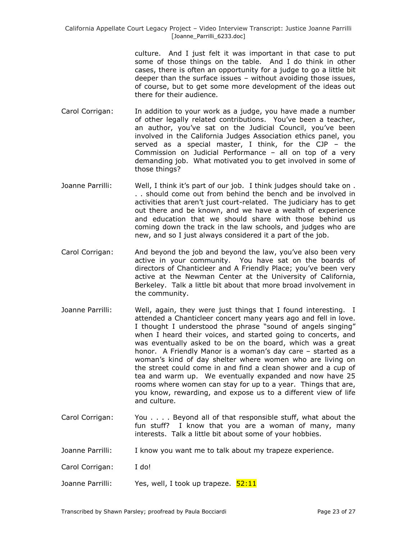> culture. And I just felt it was important in that case to put some of those things on the table. And I do think in other cases, there is often an opportunity for a judge to go a little bit deeper than the surface issues – without avoiding those issues, of course, but to get some more development of the ideas out there for their audience.

- Carol Corrigan: In addition to your work as a judge, you have made a number of other legally related contributions. You've been a teacher, an author, you've sat on the Judicial Council, you've been involved in the California Judges Association ethics panel, you served as a special master, I think, for the CJP – the Commission on Judicial Performance – all on top of a very demanding job. What motivated you to get involved in some of those things?
- Joanne Parrilli: Well, I think it's part of our job. I think judges should take on . . . should come out from behind the bench and be involved in activities that aren't just court-related. The judiciary has to get out there and be known, and we have a wealth of experience and education that we should share with those behind us coming down the track in the law schools, and judges who are new, and so I just always considered it a part of the job.
- Carol Corrigan: And beyond the job and beyond the law, you've also been very active in your community. You have sat on the boards of directors of Chanticleer and A Friendly Place; you've been very active at the Newman Center at the University of California, Berkeley. Talk a little bit about that more broad involvement in the community.
- Joanne Parrilli: Well, again, they were just things that I found interesting. I attended a Chanticleer concert many years ago and fell in love. I thought I understood the phrase "sound of angels singing" when I heard their voices, and started going to concerts, and was eventually asked to be on the board, which was a great honor. A Friendly Manor is a woman's day care – started as a woman's kind of day shelter where women who are living on the street could come in and find a clean shower and a cup of tea and warm up. We eventually expanded and now have 25 rooms where women can stay for up to a year. Things that are, you know, rewarding, and expose us to a different view of life and culture.
- Carol Corrigan: You . . . . Beyond all of that responsible stuff, what about the fun stuff? I know that you are a woman of many, many interests. Talk a little bit about some of your hobbies.
- Joanne Parrilli: I know you want me to talk about my trapeze experience.
- Carol Corrigan: I do!
- Joanne Parrilli: Yes, well, I took up trapeze. 52:11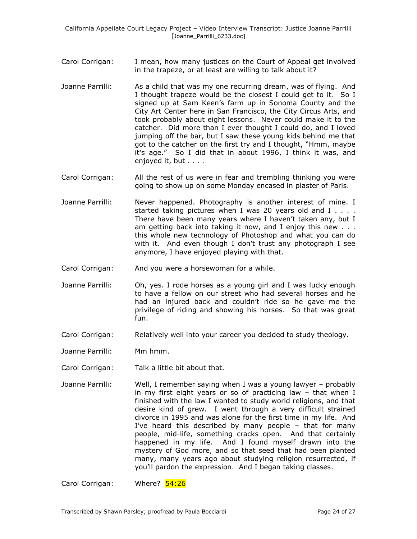- Carol Corrigan: I mean, how many justices on the Court of Appeal get involved in the trapeze, or at least are willing to talk about it?
- Joanne Parrilli: As a child that was my one recurring dream, was of flying. And I thought trapeze would be the closest I could get to it. So I signed up at Sam Keen's farm up in Sonoma County and the City Art Center here in San Francisco, the City Circus Arts, and took probably about eight lessons. Never could make it to the catcher. Did more than I ever thought I could do, and I loved jumping off the bar, but I saw these young kids behind me that got to the catcher on the first try and I thought, "Hmm, maybe it's age." So I did that in about 1996, I think it was, and enjoyed it, but . . . .
- Carol Corrigan: All the rest of us were in fear and trembling thinking you were going to show up on some Monday encased in plaster of Paris.
- Joanne Parrilli: Never happened. Photography is another interest of mine. I started taking pictures when I was 20 years old and I . . . . There have been many years where I haven't taken any, but I am getting back into taking it now, and I enjoy this new . . . this whole new technology of Photoshop and what you can do with it. And even though I don't trust any photograph I see anymore, I have enjoyed playing with that.
- Carol Corrigan: And you were a horsewoman for a while.
- Joanne Parrilli: Oh, yes. I rode horses as a young girl and I was lucky enough to have a fellow on our street who had several horses and he had an injured back and couldn't ride so he gave me the privilege of riding and showing his horses. So that was great fun.
- Carol Corrigan: Relatively well into your career you decided to study theology.
- Joanne Parrilli: Mm hmm.
- Carol Corrigan: Talk a little bit about that.
- Joanne Parrilli: Well, I remember saying when I was a young lawyer probably in my first eight years or so of practicing law – that when I finished with the law I wanted to study world religions, and that desire kind of grew. I went through a very difficult strained divorce in 1995 and was alone for the first time in my life. And I've heard this described by many people – that for many people, mid-life, something cracks open. And that certainly happened in my life. And I found myself drawn into the mystery of God more, and so that seed that had been planted many, many years ago about studying religion resurrected, if you'll pardon the expression. And I began taking classes.

Carol Corrigan: Where? 54:26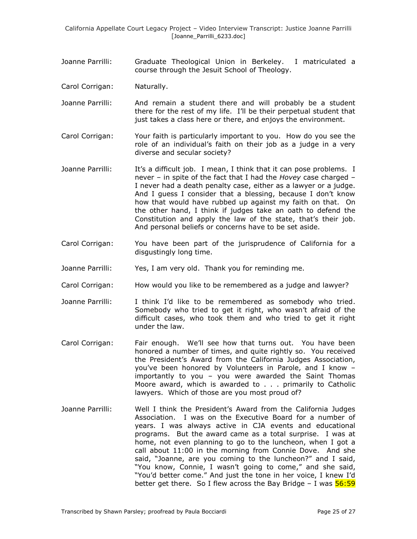- Joanne Parrilli: Graduate Theological Union in Berkeley. I matriculated a course through the Jesuit School of Theology.
- Carol Corrigan: Naturally.
- Joanne Parrilli: And remain a student there and will probably be a student there for the rest of my life. I'll be their perpetual student that just takes a class here or there, and enjoys the environment.
- Carol Corrigan: Your faith is particularly important to you. How do you see the role of an individual's faith on their job as a judge in a very diverse and secular society?
- Joanne Parrilli: It's a difficult job. I mean, I think that it can pose problems. I never – in spite of the fact that I had the *Hovey* case charged – I never had a death penalty case, either as a lawyer or a judge. And I guess I consider that a blessing, because I don't know how that would have rubbed up against my faith on that. On the other hand, I think if judges take an oath to defend the Constitution and apply the law of the state, that's their job. And personal beliefs or concerns have to be set aside.
- Carol Corrigan: You have been part of the jurisprudence of California for a disgustingly long time.
- Joanne Parrilli: Yes, I am very old. Thank you for reminding me.
- Carol Corrigan: How would you like to be remembered as a judge and lawyer?
- Joanne Parrilli: I think I'd like to be remembered as somebody who tried. Somebody who tried to get it right, who wasn't afraid of the difficult cases, who took them and who tried to get it right under the law.
- Carol Corrigan: Fair enough. We'll see how that turns out. You have been honored a number of times, and quite rightly so. You received the President's Award from the California Judges Association, you've been honored by Volunteers in Parole, and I know – importantly to you – you were awarded the Saint Thomas Moore award, which is awarded to . . . primarily to Catholic lawyers. Which of those are you most proud of?
- Joanne Parrilli: Well I think the President's Award from the California Judges Association. I was on the Executive Board for a number of years. I was always active in CJA events and educational programs. But the award came as a total surprise. I was at home, not even planning to go to the luncheon, when I got a call about 11:00 in the morning from Connie Dove. And she said, "Joanne, are you coming to the luncheon?" and I said, "You know, Connie, I wasn't going to come," and she said, "You'd better come." And just the tone in her voice, I knew I'd better get there. So I flew across the Bay Bridge  $-$  I was  $\frac{56:59}{2}$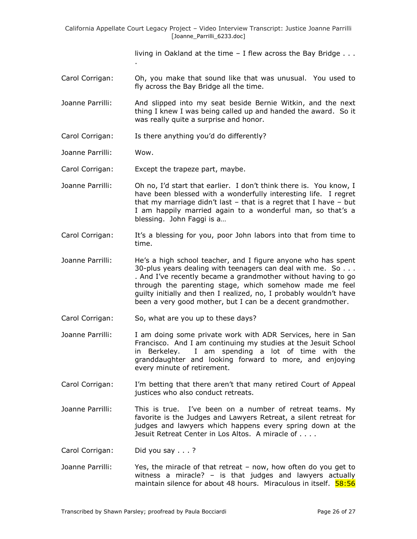living in Oakland at the time – I flew across the Bay Bridge . . .

- Carol Corrigan: Oh, you make that sound like that was unusual. You used to fly across the Bay Bridge all the time.
- Joanne Parrilli: And slipped into my seat beside Bernie Witkin, and the next thing I knew I was being called up and handed the award. So it was really quite a surprise and honor.
- Carol Corrigan: Is there anything you'd do differently?
- Joanne Parrilli: Wow.
- Carol Corrigan: Except the trapeze part, maybe.

.

- Joanne Parrilli: Oh no, I'd start that earlier. I don't think there is. You know, I have been blessed with a wonderfully interesting life. I regret that my marriage didn't last – that is a regret that I have – but I am happily married again to a wonderful man, so that's a blessing. John Faggi is a…
- Carol Corrigan: It's a blessing for you, poor John labors into that from time to time.
- Joanne Parrilli: He's a high school teacher, and I figure anyone who has spent 30-plus years dealing with teenagers can deal with me. So . . . . And I've recently became a grandmother without having to go through the parenting stage, which somehow made me feel guilty initially and then I realized, no, I probably wouldn't have been a very good mother, but I can be a decent grandmother.
- Carol Corrigan: So, what are you up to these days?
- Joanne Parrilli: I am doing some private work with ADR Services, here in San Francisco. And I am continuing my studies at the Jesuit School in Berkeley. I am spending a lot of time with the granddaughter and looking forward to more, and enjoying every minute of retirement.
- Carol Corrigan: I'm betting that there aren't that many retired Court of Appeal justices who also conduct retreats.
- Joanne Parrilli: This is true. I've been on a number of retreat teams. My favorite is the Judges and Lawyers Retreat, a silent retreat for judges and lawyers which happens every spring down at the Jesuit Retreat Center in Los Altos. A miracle of . . . .
- Carol Corrigan: Did you say . . . ?
- Joanne Parrilli: Yes, the miracle of that retreat now, how often do you get to witness a miracle? – is that judges and lawyers actually maintain silence for about 48 hours. Miraculous in itself. **58:56**